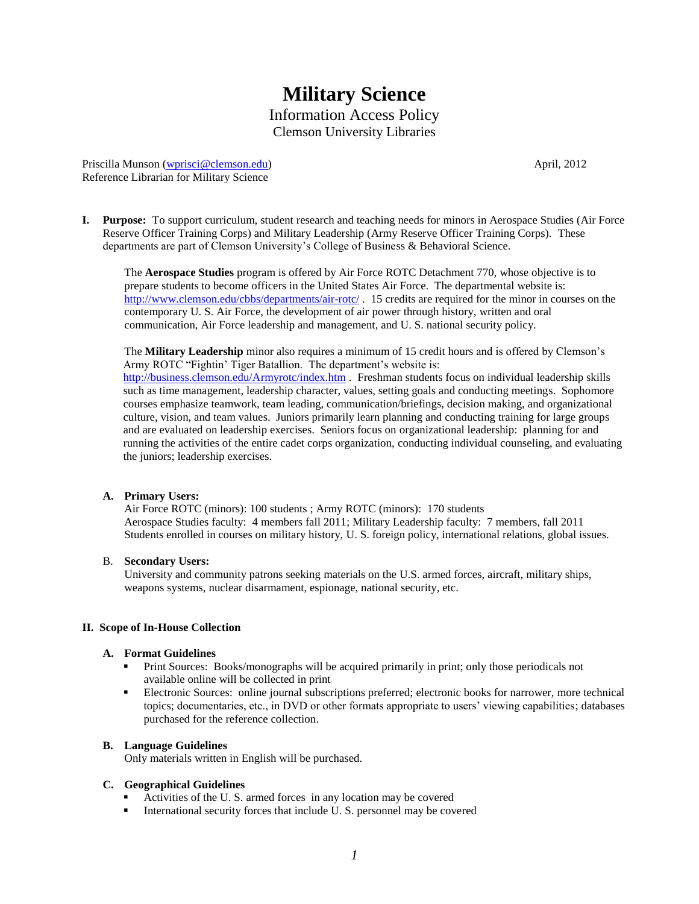# **Military Science** Information Access Policy Clemson University Libraries

Priscilla Munson [\(wprisci@clemson.edu\)](mailto:wprisci@clemson.edu) April, 2012 Reference Librarian for Military Science

**I. Purpose:** To support curriculum, student research and teaching needs for minors in Aerospace Studies (Air Force Reserve Officer Training Corps) and Military Leadership (Army Reserve Officer Training Corps). These departments are part of Clemson University's College of Business & Behavioral Science.

The **Aerospace Studies** program is offered by Air Force ROTC Detachment 770, whose objective is to prepare students to become officers in the United States Air Force. The departmental website is: <http://www.clemson.edu/cbbs/departments/air-rotc/> . 15 credits are required for the minor in courses on the contemporary U. S. Air Force, the development of air power through history, written and oral communication, Air Force leadership and management, and U. S. national security policy.

The **Military Leadership** minor also requires a minimum of 15 credit hours and is offered by Clemson's Army ROTC "Fightin' Tiger Batallion. The department's website is: <http://business.clemson.edu/Armyrotc/index.htm> . Freshman students focus on individual leadership skills such as time management, leadership character, values, setting goals and conducting meetings. Sophomore courses emphasize teamwork, team leading, communication/briefings, decision making, and organizational culture, vision, and team values. Juniors primarily learn planning and conducting training for large groups and are evaluated on leadership exercises. Seniors focus on organizational leadership: planning for and running the activities of the entire cadet corps organization, conducting individual counseling, and evaluating the juniors; leadership exercises.

## **A. Primary Users:**

Air Force ROTC (minors): 100 students ; Army ROTC (minors): 170 students Aerospace Studies faculty: 4 members fall 2011; Military Leadership faculty: 7 members, fall 2011 Students enrolled in courses on military history, U. S. foreign policy, international relations, global issues.

## B. **Secondary Users:**

University and community patrons seeking materials on the U.S. armed forces, aircraft, military ships, weapons systems, nuclear disarmament, espionage, national security, etc.

## **II. Scope of In-House Collection**

## **A. Format Guidelines**

- Print Sources: Books/monographs will be acquired primarily in print; only those periodicals not available online will be collected in print
- Electronic Sources: online journal subscriptions preferred; electronic books for narrower, more technical topics; documentaries, etc., in DVD or other formats appropriate to users' viewing capabilities; databases purchased for the reference collection.

## **B. Language Guidelines**

Only materials written in English will be purchased.

# **C. Geographical Guidelines**

- Activities of the U. S. armed forces in any location may be covered
- International security forces that include U.S. personnel may be covered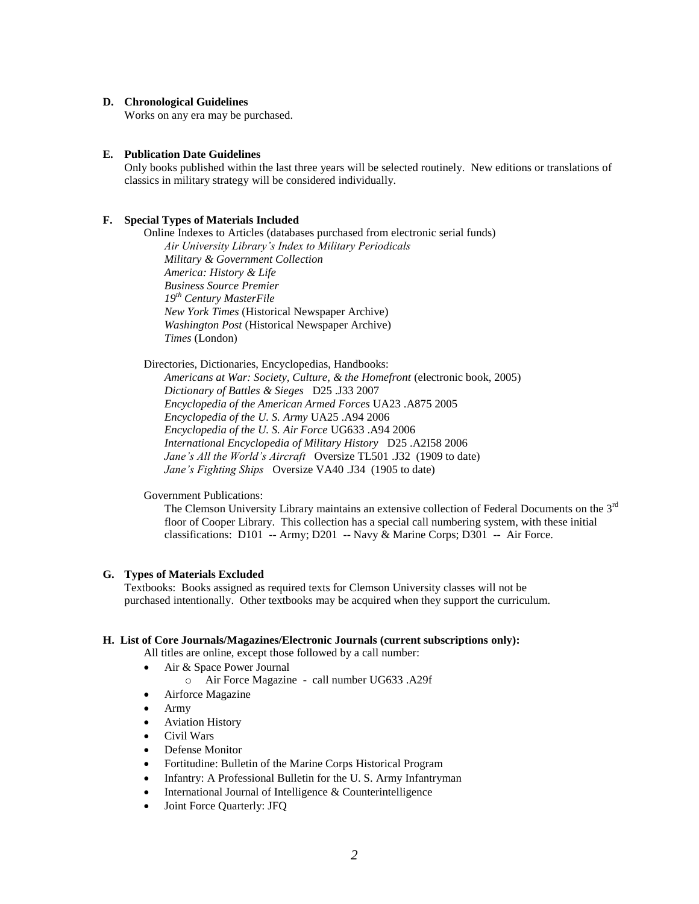#### **D. Chronological Guidelines**

Works on any era may be purchased.

#### **E. Publication Date Guidelines**

Only books published within the last three years will be selected routinely. New editions or translations of classics in military strategy will be considered individually.

#### **F. Special Types of Materials Included**

Online Indexes to Articles (databases purchased from electronic serial funds) *Air University Library's Index to Military Periodicals Military & Government Collection America: History & Life Business Source Premier 19th Century MasterFile New York Times* (Historical Newspaper Archive) *Washington Post* (Historical Newspaper Archive) *Times* (London)

Directories, Dictionaries, Encyclopedias, Handbooks: *Americans at War: Society, Culture, & the Homefront* (electronic book, 2005) *Dictionary of Battles & Sieges* D25 .J33 2007 *Encyclopedia of the American Armed Forces* UA23 .A875 2005 *Encyclopedia of the U. S. Army* UA25 .A94 2006 *Encyclopedia of the U. S. Air Force* UG633 .A94 2006 *International Encyclopedia of Military History* D25 .A2I58 2006 *Jane's All the World's Aircraft* Oversize TL501 .J32 (1909 to date) *Jane's Fighting Ships* Oversize VA40 .J34 (1905 to date)

#### Government Publications:

The Clemson University Library maintains an extensive collection of Federal Documents on the 3<sup>rd</sup> floor of Cooper Library. This collection has a special call numbering system, with these initial classifications: D101 -- Army; D201 -- Navy & Marine Corps; D301 -- Air Force.

#### **G. Types of Materials Excluded**

Textbooks: Books assigned as required texts for Clemson University classes will not be purchased intentionally. Other textbooks may be acquired when they support the curriculum.

#### **H. List of Core Journals/Magazines/Electronic Journals (current subscriptions only):**

All titles are online, except those followed by a call number:

- Air & Space Power Journal
	- o Air Force Magazine call number UG633 .A29f
- Airforce Magazine
- Army
- **•** Aviation History
- Civil Wars
- Defense Monitor
- Fortitudine: Bulletin of the Marine Corps Historical Program
- Infantry: A Professional Bulletin for the U.S. Army Infantryman
- $\bullet$  International Journal of Intelligence & Counterintelligence
- Joint Force Quarterly: JFQ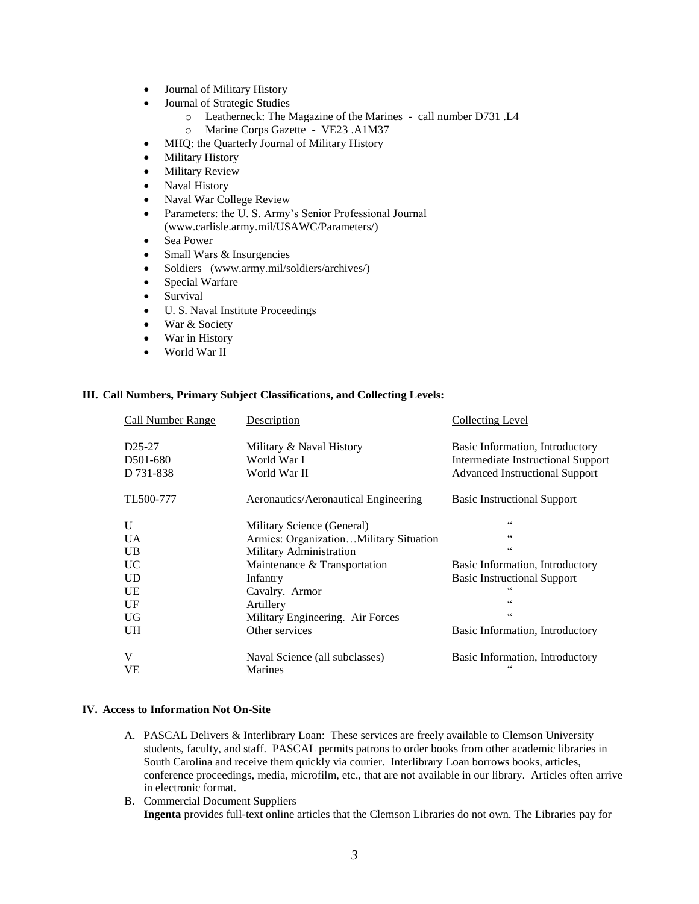- Journal of Military History
- Journal of Strategic Studies
	- o Leatherneck: The Magazine of the Marines call number D731 .L4
	- o Marine Corps Gazette VE23 .A1M37
- MHQ: the Quarterly Journal of Military History
- Military History
- Military Review
- Naval History
- Naval War College Review
- Parameters: the U. S. Army's Senior Professional Journal (www.carlisle.army.mil/USAWC/Parameters/)
- Sea Power
- Small Wars & Insurgencies
- Soldiers [\(www.army.mil/soldiers/archives/\)](http://www.army.mil/soldiers/archives/)
- Special Warfare
- Survival
- U. S. Naval Institute Proceedings
- War & Society
- War in History
- World War II

#### **III. Call Numbers, Primary Subject Classifications, and Collecting Levels:**

| Call Number Range     | Description                            | <b>Collecting Level</b>               |
|-----------------------|----------------------------------------|---------------------------------------|
| D <sub>25</sub> -27   | Military & Naval History               | Basic Information, Introductory       |
| D <sub>501</sub> -680 | World War I                            | Intermediate Instructional Support    |
| D 731-838             | World War II                           | <b>Advanced Instructional Support</b> |
| TL500-777             | Aeronautics/Aeronautical Engineering   | <b>Basic Instructional Support</b>    |
| U                     | Military Science (General)             | C C                                   |
| <b>UA</b>             | Armies: OrganizationMilitary Situation | $\subset$                             |
| <b>UB</b>             | Military Administration                | C C                                   |
| <b>UC</b>             | Maintenance & Transportation           | Basic Information, Introductory       |
| <b>UD</b>             | Infantry                               | <b>Basic Instructional Support</b>    |
| UE                    | Cavalry. Armor                         | $\epsilon$                            |
| UF                    | Artillery                              | C C                                   |
| <b>UG</b>             | Military Engineering. Air Forces       | C C                                   |
| <b>UH</b>             | Other services                         | Basic Information, Introductory       |
| V                     | Naval Science (all subclasses)         | Basic Information, Introductory       |
| <b>VE</b>             | <b>Marines</b>                         | $_{cc}$                               |

#### **IV. Access to Information Not On-Site**

- A. PASCAL Delivers & Interlibrary Loan: These services are freely available to Clemson University students, faculty, and staff. PASCAL permits patrons to order books from other academic libraries in South Carolina and receive them quickly via courier. Interlibrary Loan borrows books, articles, conference proceedings, media, microfilm, etc., that are not available in our library. Articles often arrive in electronic format.
- B. Commercial Document Suppliers **Ingenta** provides full-text online articles that the Clemson Libraries do not own. The Libraries pay for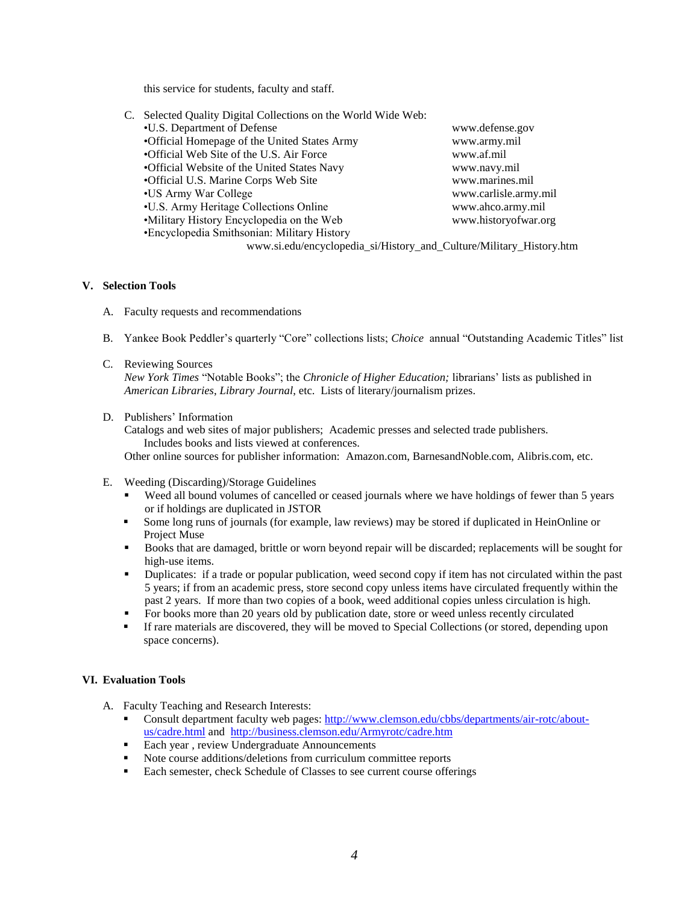this service for students, faculty and staff.

| C.                                                                  | Selected Quality Digital Collections on the World Wide Web: |                       |  |
|---------------------------------------------------------------------|-------------------------------------------------------------|-----------------------|--|
|                                                                     | •U.S. Department of Defense                                 | www.defense.gov       |  |
|                                                                     | •Official Homepage of the United States Army                | www.army.mil          |  |
|                                                                     | •Official Web Site of the U.S. Air Force                    | www.af.mil            |  |
|                                                                     | •Official Website of the United States Navy                 | www.navy.mil          |  |
|                                                                     | •Official U.S. Marine Corps Web Site                        | www.marines.mil       |  |
|                                                                     | •US Army War College                                        | www.carlisle.army.mil |  |
|                                                                     | •U.S. Army Heritage Collections Online                      | www.ahco.army.mil     |  |
|                                                                     | •Military History Encyclopedia on the Web                   | www.historyofwar.org  |  |
|                                                                     | •Encyclopedia Smithsonian: Military History                 |                       |  |
| www.si.edu/encyclopedia_si/History_and_Culture/Military_History.htm |                                                             |                       |  |

## **V. Selection Tools**

- A. Faculty requests and recommendations
- B. Yankee Book Peddler's quarterly "Core" collections lists; *Choice* annual "Outstanding Academic Titles" list
- C. Reviewing Sources *New York Times* "Notable Books"; the *Chronicle of Higher Education;* librarians' lists as published in *American Libraries*, *Library Journal*, etc. Lists of literary/journalism prizes.
- D. Publishers' Information

Catalogs and web sites of major publishers; Academic presses and selected trade publishers. Includes books and lists viewed at conferences. Other online sources for publisher information: Amazon.com, BarnesandNoble.com, Alibris.com, etc.

- E. Weeding (Discarding)/Storage Guidelines
	- Weed all bound volumes of cancelled or ceased journals where we have holdings of fewer than 5 years or if holdings are duplicated in JSTOR
	- Some long runs of journals (for example, law reviews) may be stored if duplicated in HeinOnline or Project Muse
	- Books that are damaged, brittle or worn beyond repair will be discarded; replacements will be sought for high-use items.
	- Duplicates: if a trade or popular publication, weed second copy if item has not circulated within the past 5 years; if from an academic press, store second copy unless items have circulated frequently within the past 2 years. If more than two copies of a book, weed additional copies unless circulation is high.
	- For books more than 20 years old by publication date, store or weed unless recently circulated
	- If rare materials are discovered, they will be moved to Special Collections (or stored, depending upon space concerns).

## **VI. Evaluation Tools**

- A. Faculty Teaching and Research Interests:
	- Consult department faculty web pages[: http://www.clemson.edu/cbbs/departments/air-rotc/about](http://www.clemson.edu/cbbs/departments/air-rotc/about-us/cadre.html)[us/cadre.html](http://www.clemson.edu/cbbs/departments/air-rotc/about-us/cadre.html) and <http://business.clemson.edu/Armyrotc/cadre.htm>
	- **Each year, review Undergraduate Announcements**
	- Note course additions/deletions from curriculum committee reports
	- Each semester, check Schedule of Classes to see current course offerings